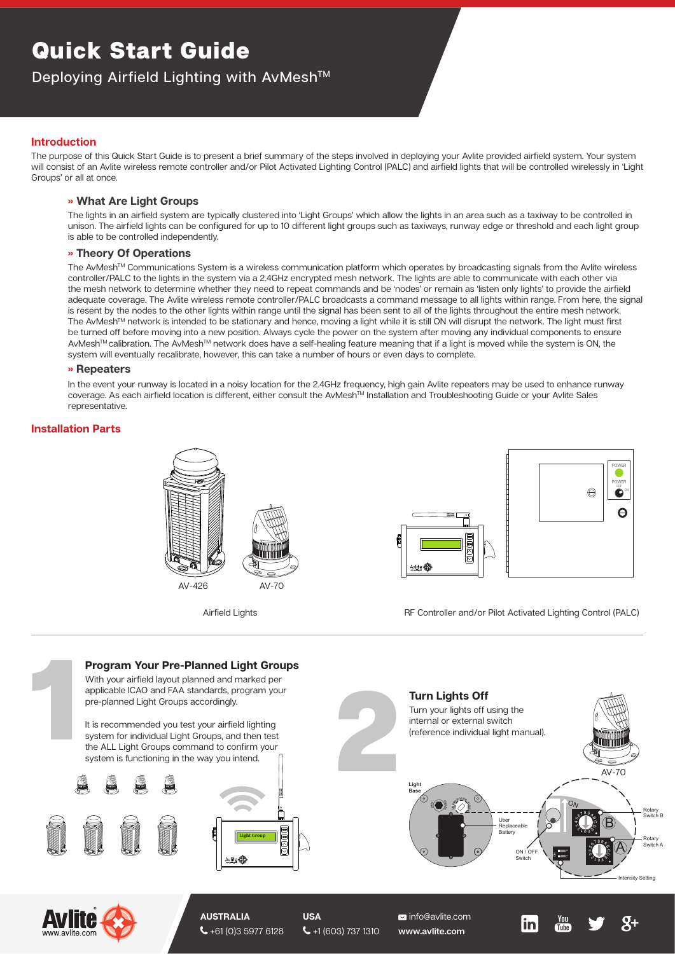# Quick Start Guide

## Deploying Airfield Lighting with AvMesh™

### **Introduction**

The purpose of this Quick Start Guide is to present a brief summary of the steps involved in deploying your Avlite provided airfield system. Your system will consist of an Avlite wireless remote controller and/or Pilot Activated Lighting Control (PALC) and airfield lights that will be controlled wirelessly in 'Light Groups' or all at once.

#### **» What Are Light Groups**

The lights in an airfield system are typically clustered into 'Light Groups' which allow the lights in an area such as a taxiway to be controlled in unison. The airfield lights can be configured for up to 10 different light groups such as taxiways, runway edge or threshold and each light group is able to be controlled independently.

#### **» Theory Of Operations**

The AvMesh™ Communications System is a wireless communication platform which operates by broadcasting signals from the Avlite wireless controller/PALC to the lights in the system via a 2.4GHz encrypted mesh network. The lights are able to communicate with each other via the mesh network to determine whether they need to repeat commands and be 'nodes' or remain as 'listen only lights' to provide the airfield adequate coverage. The Avlite wireless remote controller/PALC broadcasts a command message to all lights within range. From here, the signal is resent by the nodes to the other lights within range until the signal has been sent to all of the lights throughout the entire mesh network. The AvMeshTM network is intended to be stationary and hence, moving a light while it is still ON will disrupt the network. The light must first be turned off before moving into a new position. Always cycle the power on the system after moving any individual components to ensure AvMeshTM calibration. The AvMeshTM network does have a self-healing feature meaning that if a light is moved while the system is ON, the system will eventually recalibrate, however, this can take a number of hours or even days to complete.

#### **» Repeaters**

In the event your runway is located in a noisy location for the 2.4GHz frequency, high gain Avlite repeaters may be used to enhance runway coverage. As each airfield location is different, either consult the AvMesh<sup>TM</sup> Installation and Troubleshooting Guide or your Avlite Sales representative.

#### **Installation Parts**





Airfield Lights **RF Controller and/or Pilot Activated Lighting Control (PALC)** 

**in** 

Tuhe

Rotary Switch B

Rotary Switch A





+61 (0)3 5977 6128

 $\leftarrow$  +1 (603) 737 1310

**www.avlite.com**